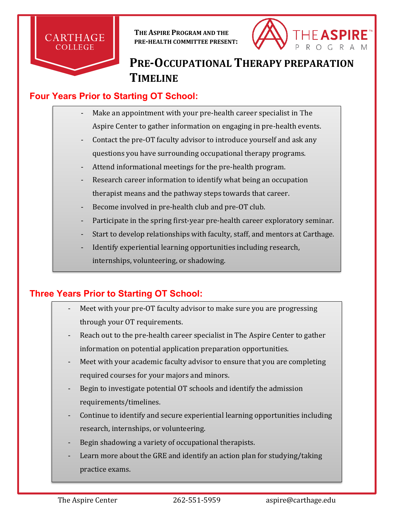

**THE ASPIRE PROGRAM AND THE PRE-HEALTH COMMITTEE PRESENT:**



# **PRE-OCCUPATIONAL THERAPY PREPARATION TIMELINE**

### **Four Years Prior to Starting OT School:**

- Make an appointment with your pre-health career specialist in The Aspire Center to gather information on engaging in pre-health events.
- Contact the pre-OT faculty advisor to introduce yourself and ask any questions you have surrounding occupational therapy programs.
- Attend informational meetings for the pre-health program.
- Research career information to identify what being an occupation therapist means and the pathway steps towards that career.
- Become involved in pre-health club and pre-OT club.
- Participate in the spring first-year pre-health career exploratory seminar.
- Start to develop relationships with faculty, staff, and mentors at Carthage.
- Identify experiential learning opportunities including research, internships, volunteering, or shadowing.

## **Three Years Prior to Starting OT School:**

- Meet with your pre-OT faculty advisor to make sure you are progressing through your OT requirements.
- Reach out to the pre-health career specialist in The Aspire Center to gather information on potential application preparation opportunities.
- Meet with your academic faculty advisor to ensure that you are completing required courses for your majors and minors.
- Begin to investigate potential OT schools and identify the admission requirements/timelines.
- Continue to identify and secure experiential learning opportunities including research, internships, or volunteering.
- Begin shadowing a variety of occupational therapists.
- Learn more about the GRE and identify an action plan for studying/taking practice exams.